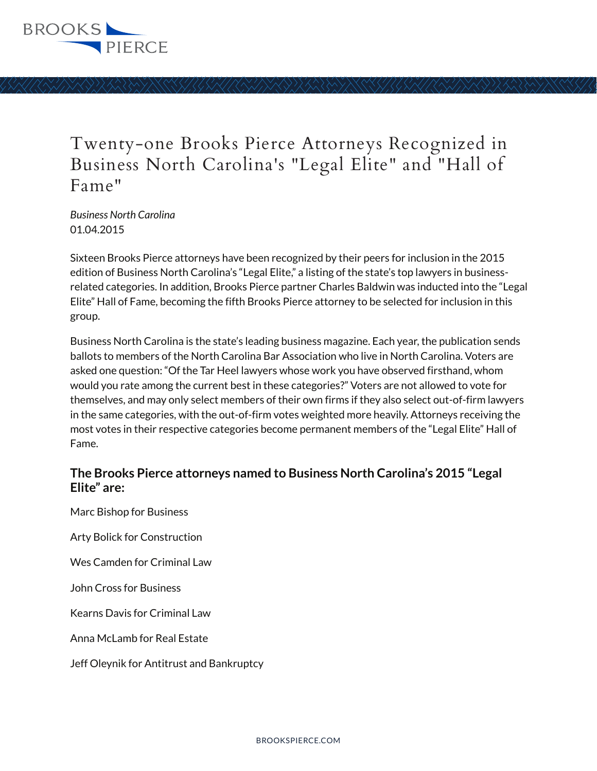

## Twenty-one Brooks Pierce Attorneys Recognized in Business North Carolina's "Legal Elite" and "Hall of Fame"

*Business North Carolina* 01.04.2015

Sixteen Brooks Pierce attorneys have been recognized by their peers for inclusion in the 2015 edition of Business North Carolina's "Legal Elite," a listing of the state's top lawyers in businessrelated categories. In addition, Brooks Pierce partner Charles Baldwin was inducted into the "Legal Elite" Hall of Fame, becoming the fifth Brooks Pierce attorney to be selected for inclusion in this group.

Business North Carolina is the state's leading business magazine. Each year, the publication sends ballots to members of the North Carolina Bar Association who live in North Carolina. Voters are asked one question: "Of the Tar Heel lawyers whose work you have observed firsthand, whom would you rate among the current best in these categories?" Voters are not allowed to vote for themselves, and may only select members of their own firms if they also select out-of-firm lawyers in the same categories, with the out-of-firm votes weighted more heavily. Attorneys receiving the most votes in their respective categories become permanent members of the "Legal Elite" Hall of Fame.

## **The Brooks Pierce attorneys named to Business North Carolina's 2015 "Legal Elite" are:**

Marc Bishop for Business

Arty Bolick for Construction

Wes Camden for Criminal Law

John Cross for Business

Kearns Davis for Criminal Law

Anna McLamb for Real Estate

Jeff Oleynik for Antitrust and Bankruptcy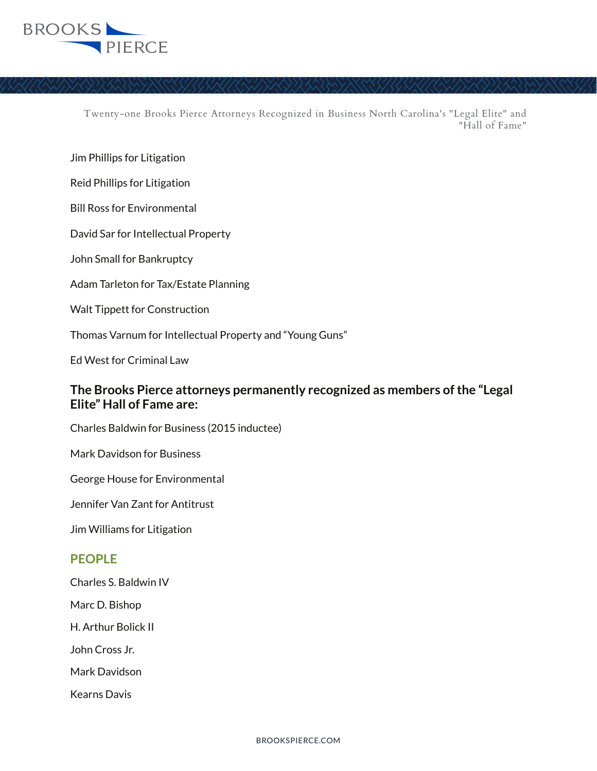

Twenty-one Brooks Pierce Attorneys Recognized in Business North Carolina's "Legal Elite" and "Hall of Fame"

Jim Phillips for Litigation

Reid Phillips for Litigation

Bill Ross for Environmental

David Sar for Intellectual Property

John Small for Bankruptcy

Adam Tarleton for Tax/Estate Planning

Walt Tippett for Construction

Thomas Varnum for Intellectual Property and "Young Guns"

Ed West for Criminal Law

## **The Brooks Pierce attorneys permanently recognized as members of the "Legal Elite" Hall of Fame are:**

Charles Baldwin for Business (2015 inductee)

Mark Davidson for Business

George House for Environmental

Jennifer Van Zant for Antitrust

Jim Williams for Litigation

## **PEOPLE**

Charles S. Baldwin IV

Marc D. Bishop

H. Arthur Bolick II

John Cross Jr.

Mark Davidson

Kearns Davis